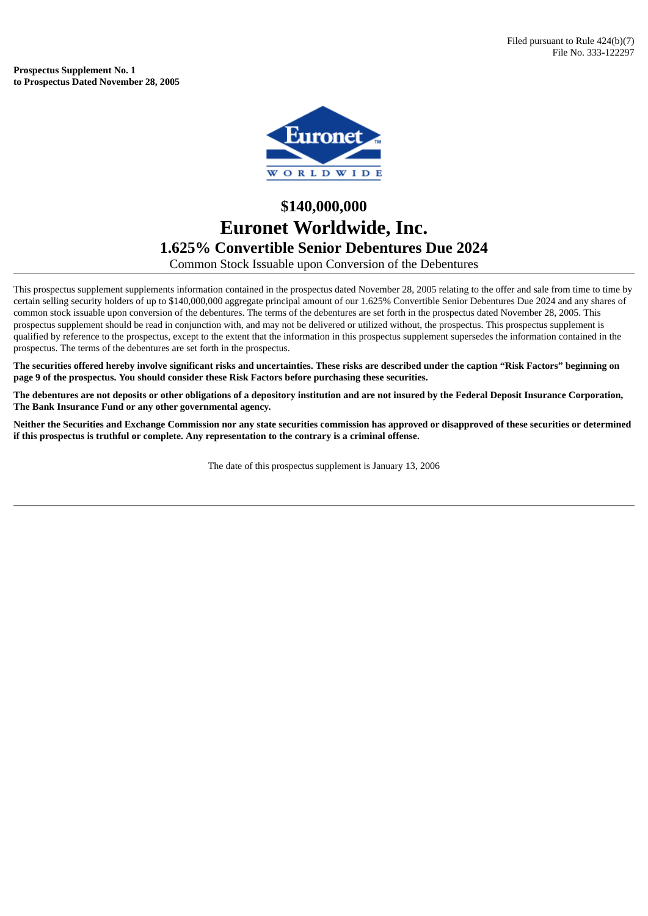**Prospectus Supplement No. 1 to Prospectus Dated November 28, 2005**



## **\$140,000,000 Euronet Worldwide, Inc. 1.625% Convertible Senior Debentures Due 2024** Common Stock Issuable upon Conversion of the Debentures

This prospectus supplement supplements information contained in the prospectus dated November 28, 2005 relating to the offer and sale from time to time by certain selling security holders of up to \$140,000,000 aggregate principal amount of our 1.625% Convertible Senior Debentures Due 2024 and any shares of common stock issuable upon conversion of the debentures. The terms of the debentures are set forth in the prospectus dated November 28, 2005. This prospectus supplement should be read in conjunction with, and may not be delivered or utilized without, the prospectus. This prospectus supplement is qualified by reference to the prospectus, except to the extent that the information in this prospectus supplement supersedes the information contained in the prospectus. The terms of the debentures are set forth in the prospectus.

The securities offered hereby involve significant risks and uncertainties. These risks are described under the caption "Risk Factors" beginning on **page 9 of the prospectus. You should consider these Risk Factors before purchasing these securities.**

The debentures are not deposits or other obligations of a depository institution and are not insured by the Federal Deposit Insurance Corporation, **The Bank Insurance Fund or any other governmental agency.**

Neither the Securities and Exchange Commission nor any state securities commission has approved or disapproved of these securities or determined **if this prospectus is truthful or complete. Any representation to the contrary is a criminal offense.**

The date of this prospectus supplement is January 13, 2006